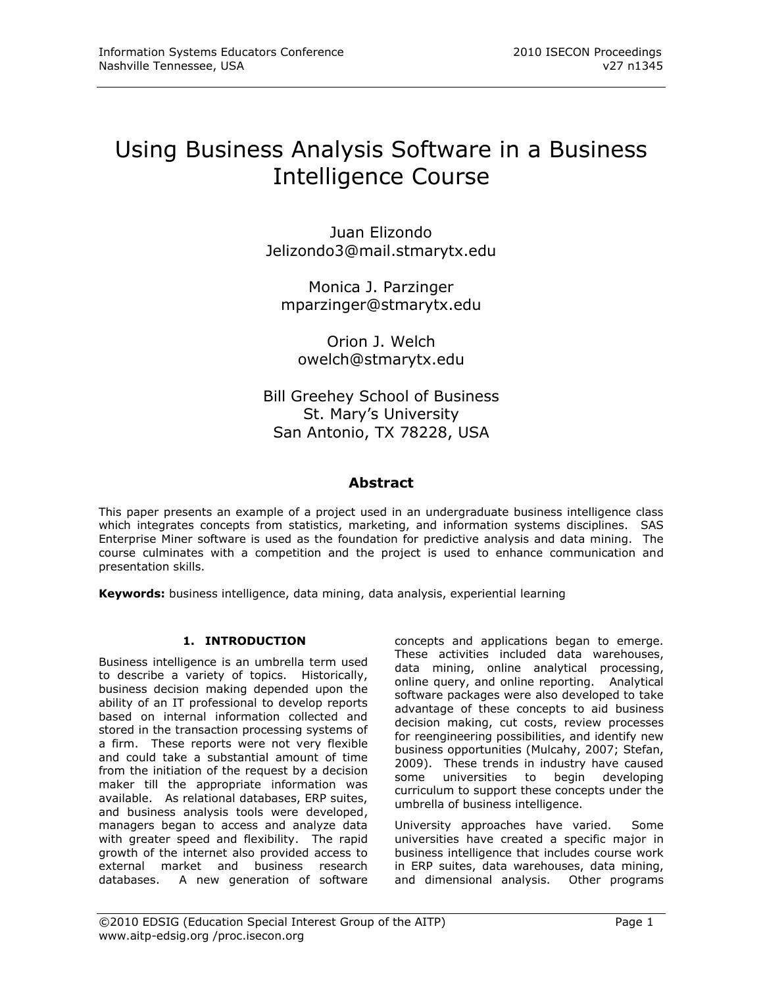# Using Business Analysis Software in a Business Intelligence Course

Juan Elizondo [Jelizondo3@mail.stmarytx.edu](mailto:Jelizondo3@mail.stmarytx.edu)

Monica J. Parzinger [mparzinger@stmarytx.edu](mailto:mparzinger@stmarytx.edu)

Orion J. Welch owelch@stmarytx.edu

Bill Greehey School of Business St. Mary's University San Antonio, TX 78228, USA

# **Abstract**

This paper presents an example of a project used in an undergraduate business intelligence class which integrates concepts from statistics, marketing, and information systems disciplines. SAS Enterprise Miner software is used as the foundation for predictive analysis and data mining. The course culminates with a competition and the project is used to enhance communication and presentation skills.

**Keywords:** business intelligence, data mining, data analysis, experiential learning

# **1. INTRODUCTION**

Business intelligence is an umbrella term used to describe a variety of topics. Historically, business decision making depended upon the ability of an IT professional to develop reports based on internal information collected and stored in the transaction processing systems of a firm. These reports were not very flexible and could take a substantial amount of time from the initiation of the request by a decision maker till the appropriate information was available. As relational databases, ERP suites, and business analysis tools were developed, managers began to access and analyze data with greater speed and flexibility. The rapid growth of the internet also provided access to external market and business research databases. A new generation of software concepts and applications began to emerge. These activities included data warehouses, data mining, online analytical processing, online query, and online reporting. Analytical software packages were also developed to take advantage of these concepts to aid business decision making, cut costs, review processes for reengineering possibilities, and identify new business opportunities (Mulcahy, 2007; Stefan, 2009). These trends in industry have caused some universities to begin developing curriculum to support these concepts under the umbrella of business intelligence.

University approaches have varied. Some universities have created a specific major in business intelligence that includes course work in ERP suites, data warehouses, data mining, and dimensional analysis. Other programs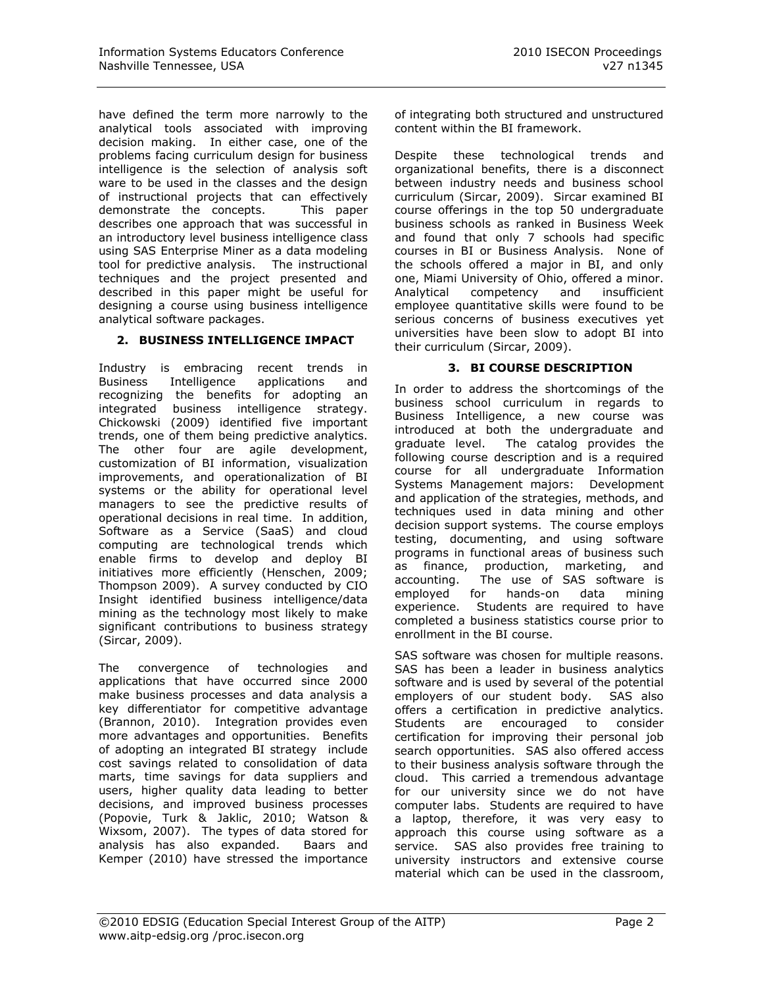have defined the term more narrowly to the analytical tools associated with improving decision making. In either case, one of the problems facing curriculum design for business intelligence is the selection of analysis soft ware to be used in the classes and the design of instructional projects that can effectively demonstrate the concepts. This paper describes one approach that was successful in an introductory level business intelligence class using SAS Enterprise Miner as a data modeling tool for predictive analysis. The instructional techniques and the project presented and described in this paper might be useful for designing a course using business intelligence analytical software packages.

#### **2. BUSINESS INTELLIGENCE IMPACT**

Industry is embracing recent trends in Business Intelligence applications and recognizing the benefits for adopting an integrated business intelligence strategy. Chickowski (2009) identified five important trends, one of them being predictive analytics. The other four are agile development, customization of BI information, visualization improvements, and operationalization of BI systems or the ability for operational level managers to see the predictive results of operational decisions in real time. In addition, Software as a Service (SaaS) and cloud computing are technological trends which enable firms to develop and deploy BI initiatives more efficiently (Henschen, 2009; Thompson 2009). A survey conducted by CIO Insight identified business intelligence/data mining as the technology most likely to make significant contributions to business strategy (Sircar, 2009).

The convergence of technologies and applications that have occurred since 2000 make business processes and data analysis a key differentiator for competitive advantage (Brannon, 2010). Integration provides even more advantages and opportunities. Benefits of adopting an integrated BI strategy include cost savings related to consolidation of data marts, time savings for data suppliers and users, higher quality data leading to better decisions, and improved business processes (Popovie, Turk & Jaklic, 2010; Watson & Wixsom, 2007). The types of data stored for analysis has also expanded. Baars and Kemper (2010) have stressed the importance

of integrating both structured and unstructured content within the BI framework.

Despite these technological trends and organizational benefits, there is a disconnect between industry needs and business school curriculum (Sircar, 2009). Sircar examined BI course offerings in the top 50 undergraduate business schools as ranked in Business Week and found that only 7 schools had specific courses in BI or Business Analysis. None of the schools offered a major in BI, and only one, Miami University of Ohio, offered a minor. Analytical competency and insufficient employee quantitative skills were found to be serious concerns of business executives yet universities have been slow to adopt BI into their curriculum (Sircar, 2009).

#### **3. BI COURSE DESCRIPTION**

In order to address the shortcomings of the business school curriculum in regards to Business Intelligence, a new course was introduced at both the undergraduate and graduate level. The catalog provides the following course description and is a required course for all undergraduate Information Systems Management majors: Development and application of the strategies, methods, and techniques used in data mining and other decision support systems. The course employs testing, documenting, and using software programs in functional areas of business such as finance, production, marketing, and accounting. The use of SAS software is employed for hands-on data mining experience. Students are required to have completed a business statistics course prior to enrollment in the BI course.

SAS software was chosen for multiple reasons. SAS has been a leader in business analytics software and is used by several of the potential employers of our student body. SAS also offers a certification in predictive analytics. Students are encouraged to consider certification for improving their personal job search opportunities. SAS also offered access to their business analysis software through the cloud. This carried a tremendous advantage for our university since we do not have computer labs. Students are required to have a laptop, therefore, it was very easy to approach this course using software as a service. SAS also provides free training to university instructors and extensive course material which can be used in the classroom,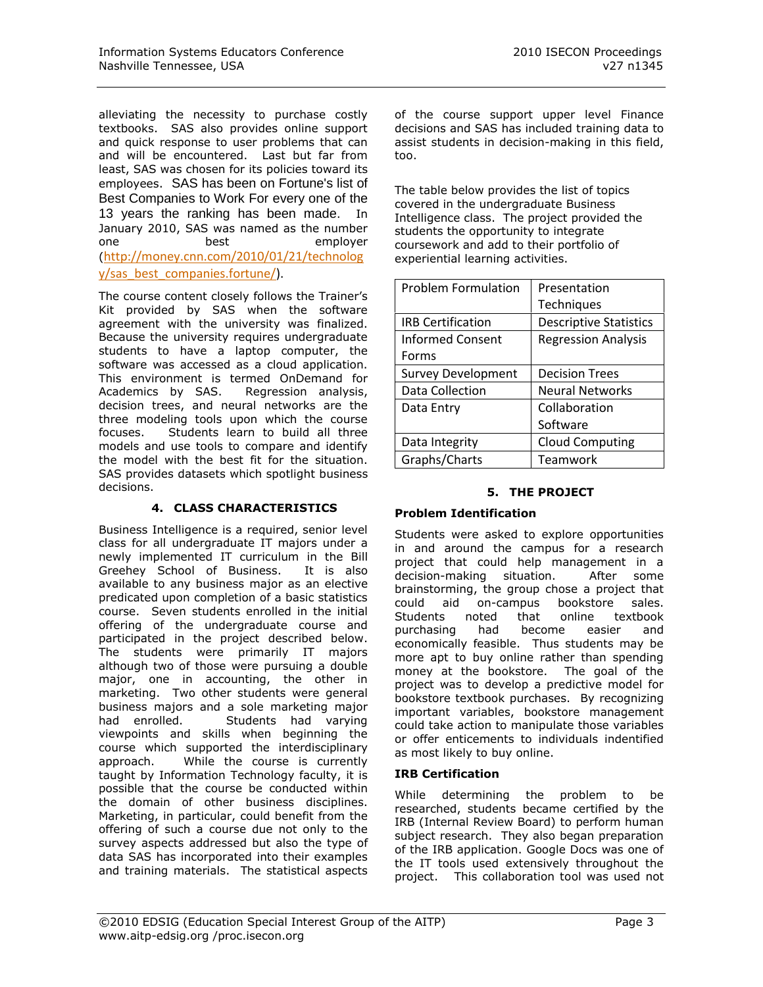alleviating the necessity to purchase costly textbooks. SAS also provides online support and quick response to user problems that can and will be encountered. Last but far from least, SAS was chosen for its policies toward its employees. SAS has been on Fortune's list of Best Companies to Work For every one of the 13 years the ranking has been made. In January 2010, SAS was named as the number one best employer ([http://money.cnn.com/2010/01/21/technolog](http://money.cnn.com/2010/01/21/technology/sas_best_companies.fortune/) [y/sas\\_best\\_companies.fortune/\)](http://money.cnn.com/2010/01/21/technology/sas_best_companies.fortune/).

The course content closely follows the Trainer's Kit provided by SAS when the software agreement with the university was finalized. Because the university requires undergraduate students to have a laptop computer, the software was accessed as a cloud application. This environment is termed OnDemand for Academics by SAS. Regression analysis, decision trees, and neural networks are the three modeling tools upon which the course focuses. Students learn to build all three models and use tools to compare and identify the model with the best fit for the situation. SAS provides datasets which spotlight business decisions.

# **4. CLASS CHARACTERISTICS**

Business Intelligence is a required, senior level class for all undergraduate IT majors under a newly implemented IT curriculum in the Bill Greehey School of Business. It is also available to any business major as an elective predicated upon completion of a basic statistics course. Seven students enrolled in the initial offering of the undergraduate course and participated in the project described below. The students were primarily IT majors although two of those were pursuing a double major, one in accounting, the other in marketing. Two other students were general business majors and a sole marketing major had enrolled. Students had varying viewpoints and skills when beginning the course which supported the interdisciplinary approach. While the course is currently taught by Information Technology faculty, it is possible that the course be conducted within the domain of other business disciplines. Marketing, in particular, could benefit from the offering of such a course due not only to the survey aspects addressed but also the type of data SAS has incorporated into their examples and training materials. The statistical aspects of the course support upper level Finance decisions and SAS has included training data to assist students in decision-making in this field, too.

The table below provides the list of topics covered in the undergraduate Business Intelligence class. The project provided the students the opportunity to integrate coursework and add to their portfolio of experiential learning activities.

| <b>Problem Formulation</b> | Presentation                  |
|----------------------------|-------------------------------|
|                            | Techniques                    |
| <b>IRB Certification</b>   | <b>Descriptive Statistics</b> |
| <b>Informed Consent</b>    | <b>Regression Analysis</b>    |
| Forms                      |                               |
| <b>Survey Development</b>  | <b>Decision Trees</b>         |
| <b>Data Collection</b>     | <b>Neural Networks</b>        |
| Data Entry                 | Collaboration                 |
|                            | Software                      |
| Data Integrity             | <b>Cloud Computing</b>        |
| Graphs/Charts              | Teamwork                      |

### **5. THE PROJECT**

# **Problem Identification**

Students were asked to explore opportunities in and around the campus for a research project that could help management in a decision-making situation. After some brainstorming, the group chose a project that could aid on-campus bookstore sales. Students noted that online textbook purchasing had become easier and economically feasible. Thus students may be more apt to buy online rather than spending money at the bookstore. The goal of the project was to develop a predictive model for bookstore textbook purchases. By recognizing important variables, bookstore management could take action to manipulate those variables or offer enticements to individuals indentified as most likely to buy online.

# **IRB Certification**

While determining the problem to be researched, students became certified by the IRB (Internal Review Board) to perform human subject research. They also began preparation of the IRB application. Google Docs was one of the IT tools used extensively throughout the project. This collaboration tool was used not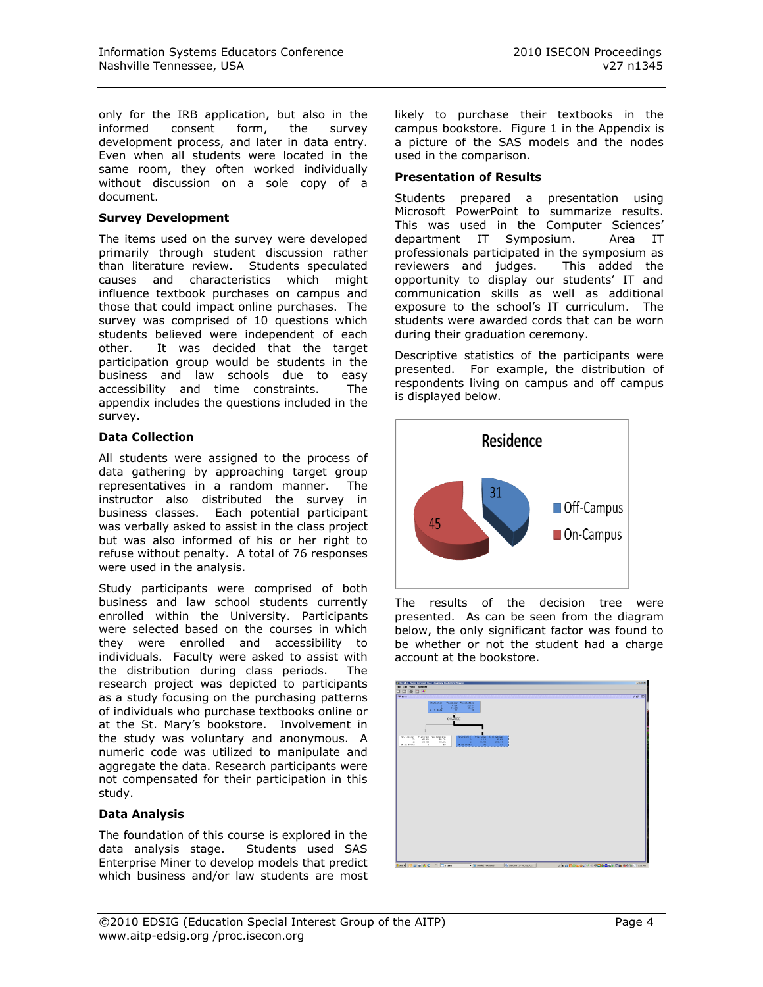only for the IRB application, but also in the informed consent form, the survey development process, and later in data entry. Even when all students were located in the same room, they often worked individually without discussion on a sole copy of a document.

#### **Survey Development**

The items used on the survey were developed primarily through student discussion rather than literature review. Students speculated causes and characteristics which might influence textbook purchases on campus and those that could impact online purchases. The survey was comprised of 10 questions which students believed were independent of each other. It was decided that the target participation group would be students in the business and law schools due to easy accessibility and time constraints. The appendix includes the questions included in the survey.

#### **Data Collection**

All students were assigned to the process of data gathering by approaching target group representatives in a random manner. The instructor also distributed the survey in business classes. Each potential participant was verbally asked to assist in the class project but was also informed of his or her right to refuse without penalty. A total of 76 responses were used in the analysis.

Study participants were comprised of both business and law school students currently enrolled within the University. Participants were selected based on the courses in which they were enrolled and accessibility to individuals. Faculty were asked to assist with the distribution during class periods. The research project was depicted to participants as a study focusing on the purchasing patterns of individuals who purchase textbooks online or at the St. Mary's bookstore. Involvement in the study was voluntary and anonymous. A numeric code was utilized to manipulate and aggregate the data. Research participants were not compensated for their participation in this study.

#### **Data Analysis**

The foundation of this course is explored in the data analysis stage. Students used SAS Enterprise Miner to develop models that predict which business and/or law students are most likely to purchase their textbooks in the campus bookstore. Figure 1 in the Appendix is a picture of the SAS models and the nodes used in the comparison.

#### **Presentation of Results**

Students prepared a presentation using Microsoft PowerPoint to summarize results. This was used in the Computer Sciences' department IT Symposium. Area IT professionals participated in the symposium as reviewers and judges. This added the opportunity to display our students' IT and communication skills as well as additional exposure to the school's IT curriculum. The students were awarded cords that can be worn during their graduation ceremony.

Descriptive statistics of the participants were presented. For example, the distribution of respondents living on campus and off campus is displayed below.



The results of the decision tree were presented. As can be seen from the diagram below, the only significant factor was found to be whether or not the student had a charge account at the bookstore.

| ( <sup>15</sup> Results - Node: Decision Tree Diagram: Predictive Medels<br><b>ER: DM Mem Western</b>                                                                                                                                                                                                                                                                                    | $ x  =  x $              |
|------------------------------------------------------------------------------------------------------------------------------------------------------------------------------------------------------------------------------------------------------------------------------------------------------------------------------------------------------------------------------------------|--------------------------|
| <b>W</b> free                                                                                                                                                                                                                                                                                                                                                                            | $d'd' \boxplus$          |
| <b>DDGD4</b><br>Training Validation<br>Statistic<br>10.75<br>$-31.59$<br>$\frac{1}{10}$ and $\frac{1}{10}$<br>$\sim$ 14<br>CHARGE<br>Training Validation<br>40.05 40.05<br>40.05 40.05<br>Training Validonico<br>Statistic<br>Statistic.<br>ъ<br>0.01<br>$rac{3.15}{66.95}$<br>÷<br>Б<br>21<br><b>E in Boder</b><br>If in Bodes<br>10<br>37<br>$\overline{\phantom{a}}$<br>$\Rightarrow$ |                          |
|                                                                                                                                                                                                                                                                                                                                                                                          |                          |
| EBOV Sim<br>$2$ Start<br>(4) Document1 - Microsoft<br><b>B</b> Untiled-Retroad                                                                                                                                                                                                                                                                                                           | 2000日の回答とは日本日本のあるのではなかない |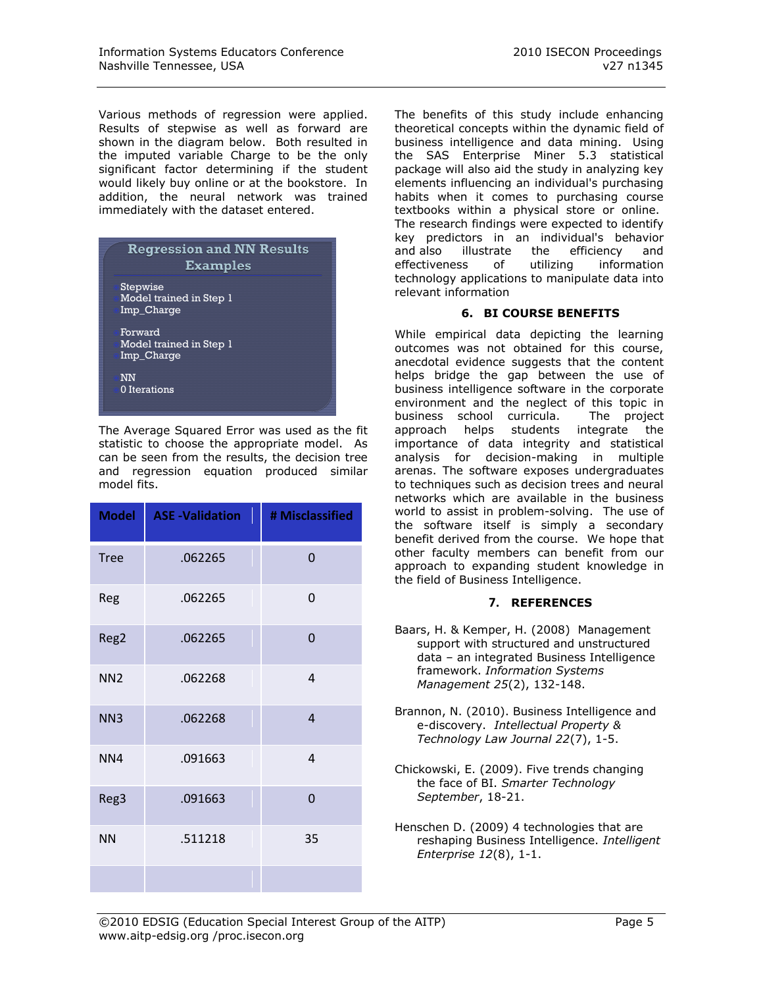Various methods of regression were applied. Results of stepwise as well as forward are shown in the diagram below. Both resulted in the imputed variable Charge to be the only significant factor determining if the student would likely buy online or at the bookstore. In addition, the neural network was trained immediately with the dataset entered.

| <b>Regression and NN Results</b><br><b>Examples</b> |
|-----------------------------------------------------|
| Stepwise<br>Model trained in Step 1<br>Imp_Charge   |
| Forward<br>Model trained in Step 1<br>Imp_Charge    |
| NN<br>0 Iterations                                  |

The Average Squared Error was used as the fit statistic to choose the appropriate model. As can be seen from the results, the decision tree and regression equation produced similar model fits.

| <b>Model</b>    | <b>ASE -Validation</b> | # Misclassified        |
|-----------------|------------------------|------------------------|
| <b>Tree</b>     | .062265                | $\overline{0}$         |
| Reg             | .062265                | 0                      |
| Reg2            | .062265                | $\mathbf 0$            |
| NN <sub>2</sub> | .062268                | 4                      |
| NN <sub>3</sub> | .062268                | $\overline{4}$         |
| NN4             | .091663                | $\boldsymbol{\Lambda}$ |
| Reg3            | .091663                | $\overline{0}$         |
| <b>NN</b>       | .511218                | 35                     |
|                 |                        |                        |

The benefits of this study include enhancing theoretical concepts within the dynamic field of business intelligence and data mining. Using the SAS Enterprise Miner 5.3 statistical package will also aid the study in analyzing key elements influencing an individual's purchasing habits when it comes to purchasing course textbooks within a physical store or online. The research findings were expected to identify key predictors in an individual's behavior and also illustrate the efficiency and effectiveness of utilizing information technology applications to manipulate data into relevant information

#### **6. BI COURSE BENEFITS**

While empirical data depicting the learning outcomes was not obtained for this course, anecdotal evidence suggests that the content helps bridge the gap between the use of business intelligence software in the corporate environment and the neglect of this topic in business school curricula. The project approach helps students integrate the importance of data integrity and statistical analysis for decision-making in multiple arenas. The software exposes undergraduates to techniques such as decision trees and neural networks which are available in the business world to assist in problem-solving. The use of the software itself is simply a secondary benefit derived from the course. We hope that other faculty members can benefit from our approach to expanding student knowledge in the field of Business Intelligence.

# **7. REFERENCES**

- Baars, H. & Kemper, H. (2008) Management support with structured and unstructured data – an integrated Business Intelligence framework. *Information Systems Management 25*(2), 132-148.
- Brannon, N. (2010). Business Intelligence and e-discovery. *Intellectual Property & Technology Law Journal 22*(7), 1-5.
- Chickowski, E. (2009). Five trends changing the face of BI. *Smarter Technology September*, 18-21.
- Henschen D. (2009) 4 technologies that are reshaping Business Intelligence. *Intelligent Enterprise 12*(8), 1-1.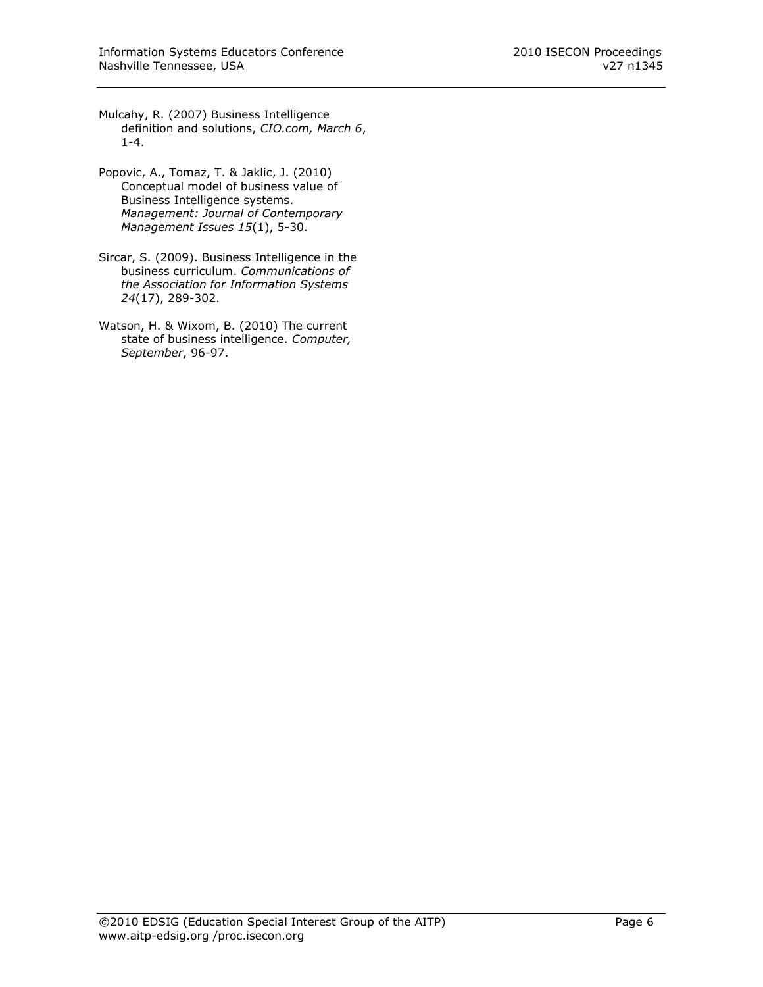- Mulcahy, R. (2007) Business Intelligence definition and solutions, *CIO.com, March 6*, 1-4.
- Popovic, A., Tomaz, T. & Jaklic, J. (2010) Conceptual model of business value of Business Intelligence systems. *Management: Journal of Contemporary Management Issues 15*(1), 5-30.
- Sircar, S. (2009). Business Intelligence in the business curriculum. *Communications of the Association for Information Systems 24*(17), 289-302.
- Watson, H. & Wixom, B. (2010) The current state of business intelligence. *Computer, September*, 96-97.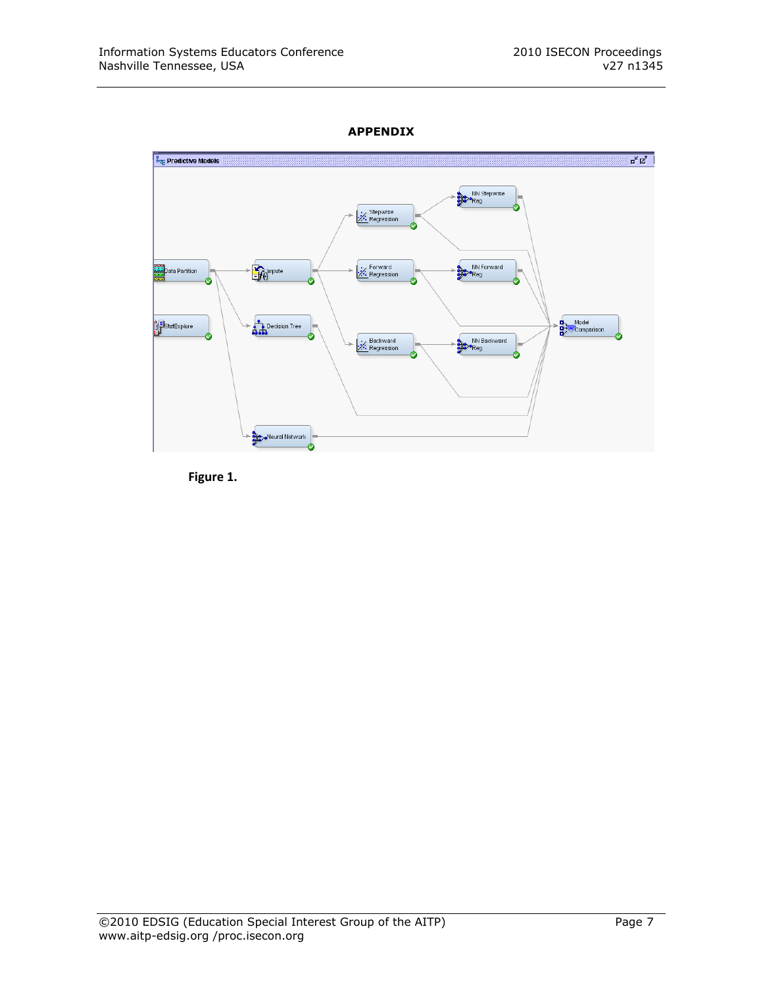# **APPENDIX**



**Figure 1.**